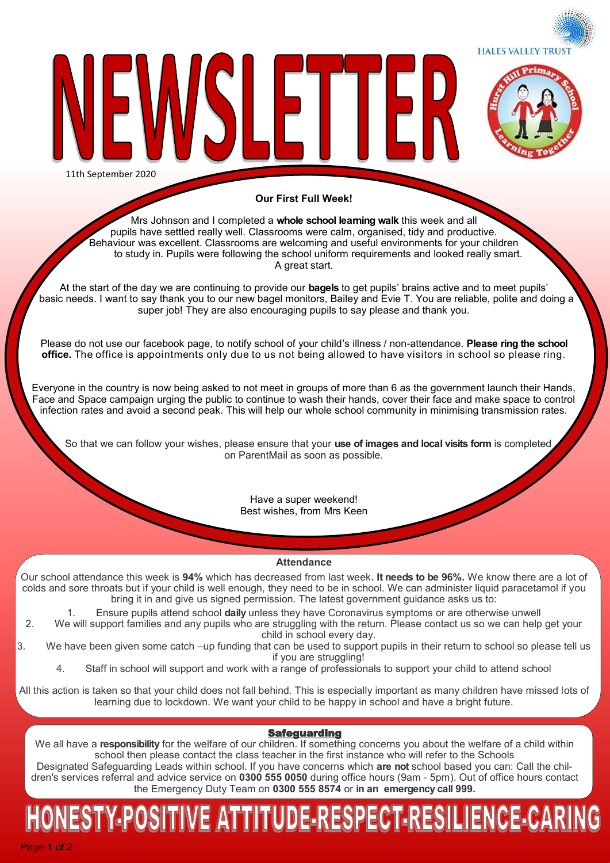**HALES VALLEY TRUST** 



11th September 2020

### **Our First Full Week!**

╟┣╿

Mrs Johnson and I completed a **whole school learning walk** this week and all pupils have settled really well. Classrooms were calm, organised, tidy and productive. Behaviour was excellent. Classrooms are welcoming and useful environments for your children to study in. Pupils were following the school uniform requirements and looked really smart. A great start.

At the start of the day we are continuing to provide our **bagels** to get pupils' brains active and to meet pupils' basic needs. I want to say thank you to our new bagel monitors, Bailey and Evie T. You are reliable, polite and doing a super job! They are also encouraging pupils to say please and thank you.

Please do not use our facebook page, to notify school of your child's illness / non-attendance. **Please ring the school office.** The office is appointments only due to us not being allowed to have visitors in school so please ring.

Everyone in the country is now being asked to not meet in groups of more than 6 as the government launch their Hands, Face and Space campaign urging the public to continue to wash their hands, cover their face and make space to control infection rates and avoid a second peak. This will help our whole school community in minimising transmission rates.

 So that we can follow your wishes, please ensure that your **use of images and local visits form** is completed on ParentMail as soon as possible.

> Have a super weekend! Best wishes, from Mrs Keen

#### **Attendance**

Our school attendance this week is **94%** which has decreased from last week**. It needs to be 96%.** We know there are a lot of colds and sore throats but if your child is well enough, they need to be in school. We can administer liquid paracetamol if you bring it in and give us signed permission. The latest government guidance asks us to:

1. Ensure pupils attend school **daily** unless they have Coronavirus symptoms or are otherwise unwell 2. We will support families and any pupils who are struggling with the return. Please contact us so we can help get your

child in school every day. 3. We have been given some catch –up funding that can be used to support pupils in their return to school so please tell us if you are struggling!

4. Staff in school will support and work with a range of professionals to support your child to attend school

All this action is taken so that your child does not fall behind. This is especially important as many children have missed lots of learning due to lockdown. We want your child to be happy in school and have a bright future.

### Safeguarding

We all have a **responsibility** for the welfare of our children. If something concerns you about the welfare of a child within school then please contact the class teacher in the first instance who will refer to the Schools

Designated Safeguarding Leads within school. If you have concerns which **are not** school based you can: Call the children's services referral and advice service on **0300 555 0050** during office hours (9am - 5pm). Out of office hours contact the Emergency Duty Team on **0300 555 8574** or **in an emergency call 999.** 

### TIVE ATTITUDE-RESPECT-RESILIENCE-CARII ESTY POSIT

Page 1 of 2